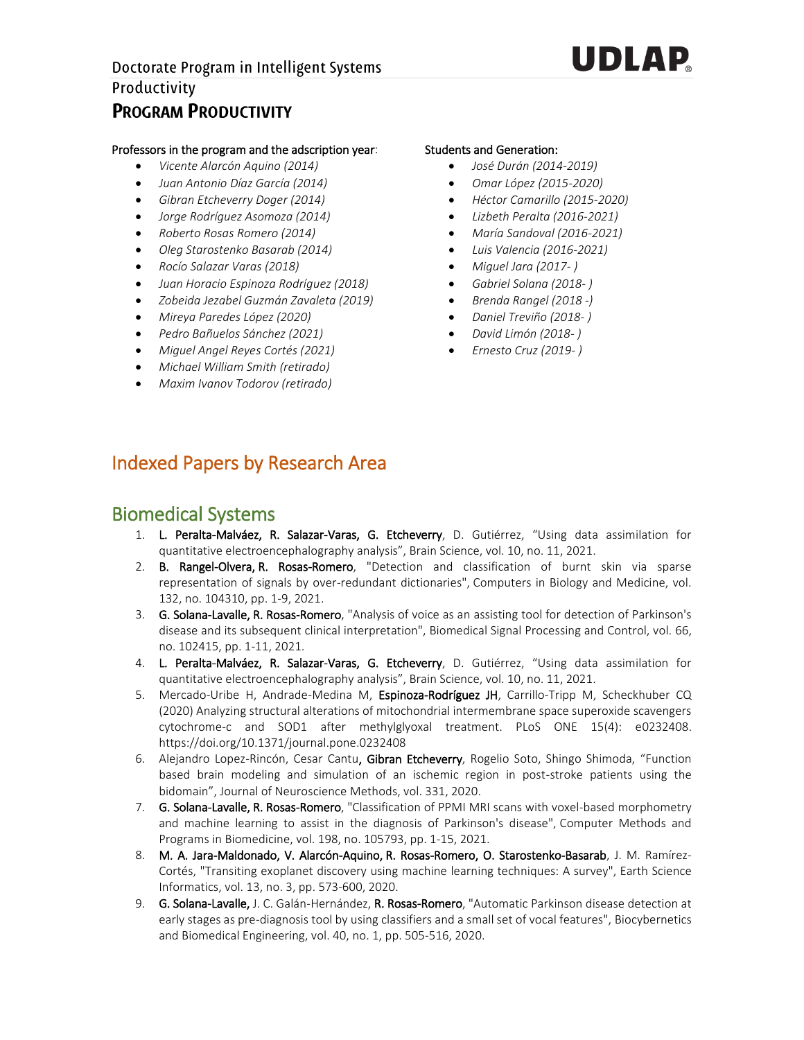

#### Professors in the program and the adscription year:

- *Vicente Alarcón Aquino (2014)*
- *Juan Antonio Díaz García (2014)*
- *Gibran Etcheverry Doger (2014)*
- *Jorge Rodríguez Asomoza (2014)*
- *Roberto Rosas Romero (2014)*
- *Oleg Starostenko Basarab (2014)*
- *Rocío Salazar Varas (2018)*
- *Juan Horacio Espinoza Rodríguez (2018)*
- *Zobeida Jezabel Guzmán Zavaleta (2019)*
- *Mireya Paredes López (2020)*
- *Pedro Bañuelos Sánchez (2021)*
- *Miguel Angel Reyes Cortés (2021)*
- *Michael William Smith (retirado)*
- *Maxim Ivanov Todorov (retirado)*

#### Students and Generation:

- *José Durán (2014-2019)*
- *Omar López (2015-2020)*
- *Héctor Camarillo (2015-2020)*
- *Lizbeth Peralta (2016-2021)*
- *María Sandoval (2016-2021)*
- *Luis Valencia (2016-2021)*
- *Miguel Jara (2017- )*
- *Gabriel Solana (2018- )*
- *Brenda Rangel (2018 -)*
- *Daniel Treviño (2018- )*
- *David Limón (2018- )*
- *Ernesto Cruz (2019- )*

### Indexed Papers by Research Area

## Biomedical Systems

- 1. L. Peralta-Malváez, R. Salazar-Varas, G. Etcheverry, D. Gutiérrez, "Using data assimilation for quantitative electroencephalography analysis", Brain Science, vol. 10, no. 11, 2021.
- 2. B. Rangel-Olvera, R. Rosas-Romero, "Detection and classification of burnt skin via sparse representation of signals by over-redundant dictionaries", Computers in Biology and Medicine, vol. 132, no. 104310, pp. 1-9, 2021.
- 3. G. Solana-Lavalle, R. Rosas-Romero, "Analysis of voice as an assisting tool for detection of Parkinson's disease and its subsequent clinical interpretation", Biomedical Signal Processing and Control, vol. 66, no. 102415, pp. 1-11, 2021.
- 4. L. Peralta-Malváez, R. Salazar-Varas, G. Etcheverry, D. Gutiérrez, "Using data assimilation for quantitative electroencephalography analysis", Brain Science, vol. 10, no. 11, 2021.
- 5. Mercado-Uribe H, Andrade-Medina M, Espinoza-Rodríguez JH, Carrillo-Tripp M, Scheckhuber CQ (2020) Analyzing structural alterations of mitochondrial intermembrane space superoxide scavengers cytochrome-c and SOD1 after methylglyoxal treatment. PLoS ONE 15(4): e0232408. https://doi.org/10.1371/journal.pone.0232408
- 6. Alejandro Lopez-Rincón, Cesar Cantu, Gibran Etcheverry, Rogelio Soto, Shingo Shimoda, "Function based brain modeling and simulation of an ischemic region in post-stroke patients using the bidomain", Journal of Neuroscience Methods, vol. 331, 2020.
- 7. G. Solana-Lavalle, R. Rosas-Romero, "Classification of PPMI MRI scans with voxel-based morphometry and machine learning to assist in the diagnosis of Parkinson's disease", Computer Methods and Programs in Biomedicine, vol. 198, no. 105793, pp. 1-15, 2021.
- 8. M. A. Jara-Maldonado, V. Alarcón-Aquino, R. Rosas-Romero, O. Starostenko-Basarab, J. M. Ramírez-Cortés, "Transiting exoplanet discovery using machine learning techniques: A survey", Earth Science Informatics, vol. 13, no. 3, pp. 573-600, 2020.
- 9. G. Solana-Lavalle, J. C. Galán-Hernández, R. Rosas-Romero, "Automatic Parkinson disease detection at early stages as pre-diagnosis tool by using classifiers and a small set of vocal features", Biocybernetics and Biomedical Engineering, vol. 40, no. 1, pp. 505-516, 2020.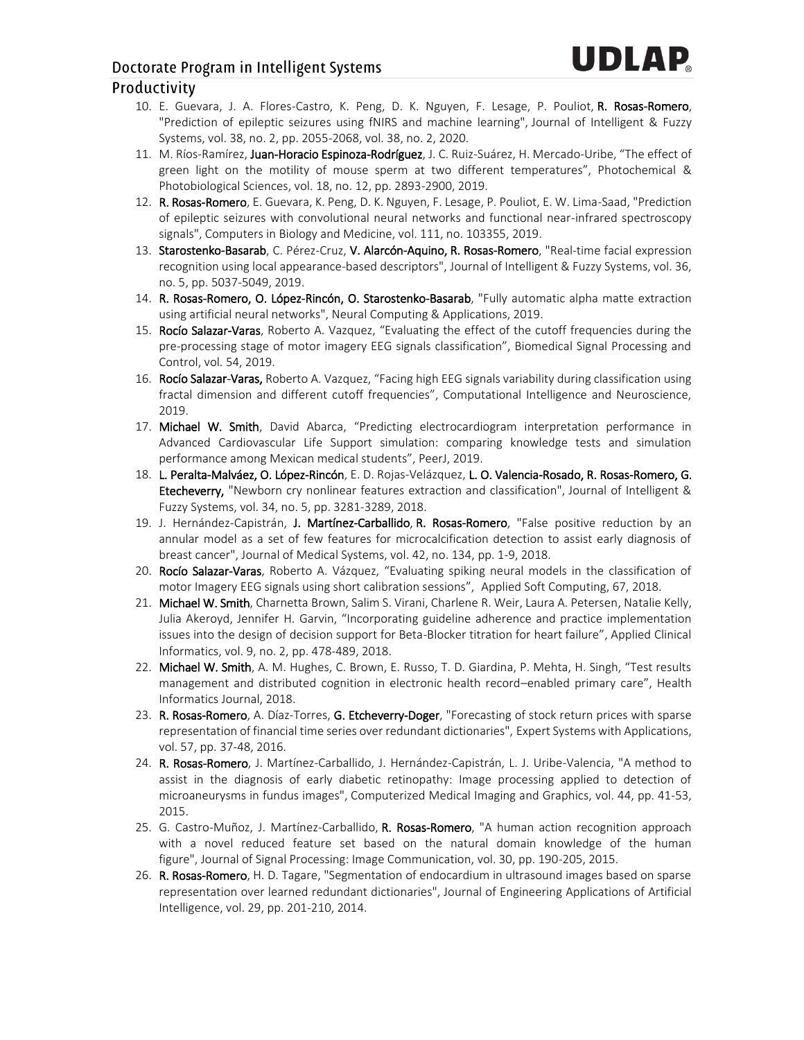# UDLAP

#### Doctorate Program in Intelligent Systems

#### Productivity

- 10. E. Guevara, J. A. Flores-Castro, K. Peng, D. K. Nguyen, F. Lesage, P. Pouliot, R. Rosas-Romero, "Prediction of epileptic seizures using fNIRS and machine learning", Journal of Intelligent & Fuzzy Systems, vol. 38, no. 2, pp. 2055-2068, vol. 38, no. 2, 2020.
- 11. M. Ríos-Ramírez, Juan-Horacio Espinoza-Rodríguez, J. C. Ruiz-Suárez, H. Mercado-Uribe, "The effect of green light on the motility of mouse sperm at two different temperatures", Photochemical & Photobiological Sciences, vol. 18, no. 12, pp. 2893-2900, 2019.
- 12. R. Rosas-Romero, E. Guevara, K. Peng, D. K. Nguyen, F. Lesage, P. Pouliot, E. W. Lima-Saad, "Prediction of epileptic seizures with convolutional neural networks and functional near-infrared spectroscopy signals", Computers in Biology and Medicine, vol. 111, no. 103355, 2019.
- 13. Starostenko-Basarab, C. Pérez-Cruz, V. Alarcón-Aquino, R. Rosas-Romero, "Real-time facial expression recognition using local appearance-based descriptors", Journal of Intelligent & Fuzzy Systems, vol. 36, no. 5, pp. 5037-5049, 2019.
- 14. R. Rosas-Romero, O. López-Rincón, O. Starostenko-Basarab, "Fully automatic alpha matte extraction using artificial neural networks", Neural Computing & Applications, 2019.
- 15. Rocío Salazar-Varas, Roberto A. Vazquez, "Evaluating the effect of the cutoff frequencies during the pre-processing stage of motor imagery EEG signals classification", Biomedical Signal Processing and Control, vol. 54, 2019.
- 16. Rocío Salazar-Varas, Roberto A. Vazquez, "Facing high EEG signals variability during classification using fractal dimension and different cutoff frequencies", Computational Intelligence and Neuroscience, 2019.
- 17. Michael W. Smith, David Abarca, "Predicting electrocardiogram interpretation performance in Advanced Cardiovascular Life Support simulation: comparing knowledge tests and simulation performance among Mexican medical students", PeerJ, 2019.
- 18. L. Peralta-Malváez, O. López-Rincón, E. D. Rojas-Velázquez, L. O. Valencia-Rosado, R. Rosas-Romero, G. Etecheverry, "Newborn cry nonlinear features extraction and classification", Journal of Intelligent & Fuzzy Systems, vol. 34, no. 5, pp. 3281-3289, 2018.
- 19. J. Hernández-Capistrán, J. Martínez-Carballido, R. Rosas-Romero, "False positive reduction by an annular model as a set of few features for microcalcification detection to assist early diagnosis of breast cancer", Journal of Medical Systems, vol. 42, no. 134, pp. 1-9, 2018.
- 20. Rocío Salazar-Varas, Roberto A. Vázquez, "Evaluating spiking neural models in the classification of motor Imagery EEG signals using short calibration sessions", Applied Soft Computing, 67, 2018.
- 21. Michael W. Smith, Charnetta Brown, Salim S. Virani, Charlene R. Weir, Laura A. Petersen, Natalie Kelly, Julia Akeroyd, Jennifer H. Garvin, "Incorporating guideline adherence and practice implementation issues into the design of decision support for Beta-Blocker titration for heart failure", Applied Clinical Informatics, vol. 9, no. 2, pp. 478-489, 2018.
- 22. Michael W. Smith, A. M. Hughes, C. Brown, E. Russo, T. D. Giardina, P. Mehta, H. Singh, "Test results management and distributed cognition in electronic health record–enabled primary care", Health Informatics Journal, 2018.
- 23. R. Rosas-Romero, A. Díaz-Torres, G. Etcheverry-Doger, "Forecasting of stock return prices with sparse representation of financial time series over redundant dictionaries", Expert Systems with Applications, vol. 57, pp. 37-48, 2016.
- 24. R. Rosas-Romero, J. Martínez-Carballido, J. Hernández-Capistrán, L. J. Uribe-Valencia, "A method to assist in the diagnosis of early diabetic retinopathy: Image processing applied to detection of microaneurysms in fundus images", Computerized Medical Imaging and Graphics, vol. 44, pp. 41-53, 2015.
- 25. G. Castro-Muñoz, J. Martínez-Carballido, R. Rosas-Romero, "A human action recognition approach with a novel reduced feature set based on the natural domain knowledge of the human figure", Journal of Signal Processing: Image Communication, vol. 30, pp. 190-205, 2015.
- 26. R. Rosas-Romero, H. D. Tagare, "Segmentation of endocardium in ultrasound images based on sparse representation over learned redundant dictionaries", Journal of Engineering Applications of Artificial Intelligence, vol. 29, pp. 201-210, 2014.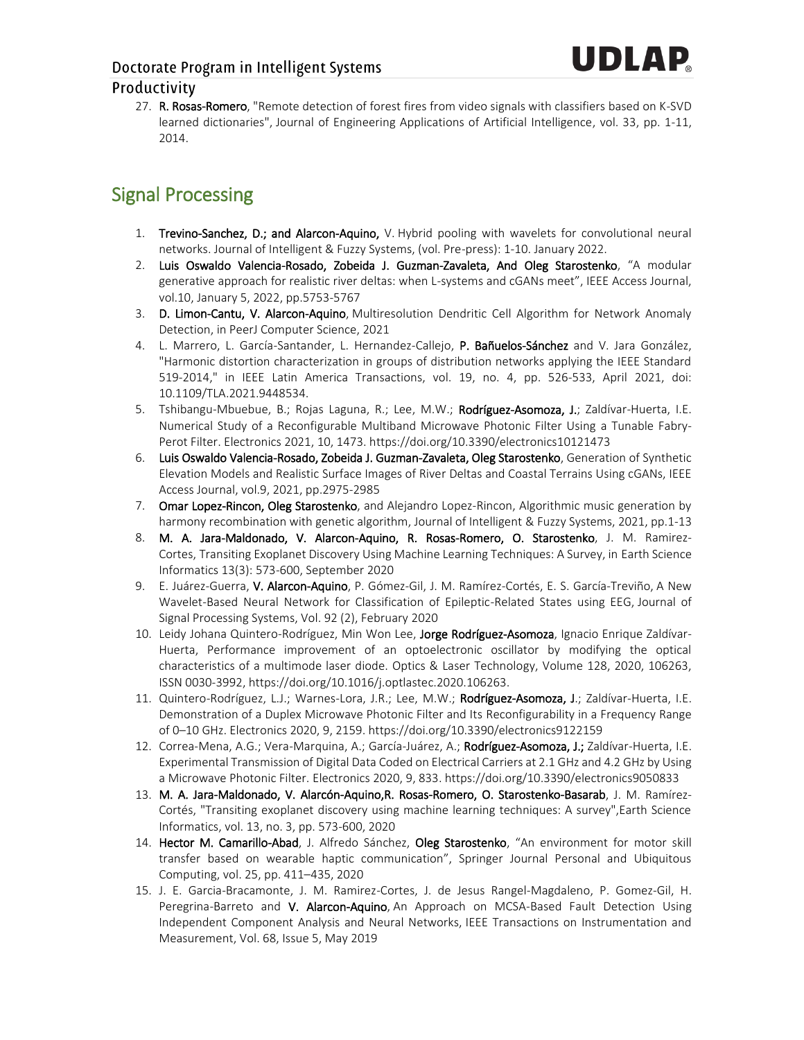27. R. Rosas-Romero, "Remote detection of forest fires from video signals with classifiers based on K-SVD learned dictionaries", Journal of Engineering Applications of Artificial Intelligence, vol. 33, pp. 1-11, 2014.

# Signal Processing

- 1. Trevino-Sanchez, D.; and Alarcon-Aquino, V. Hybrid pooling with wavelets for convolutional neural networks. Journal of Intelligent & Fuzzy Systems, (vol. Pre-press): 1-10. January 2022.
- 2. Luis Oswaldo Valencia-Rosado, Zobeida J. Guzman-Zavaleta, And Oleg Starostenko, "A modular generative approach for realistic river deltas: when L-systems and cGANs meet", IEEE Access Journal, vol.10, January 5, 2022, pp.5753-5767
- 3. D. Limon-Cantu, V. Alarcon-Aquino, Multiresolution Dendritic Cell Algorithm for Network Anomaly Detection, in PeerJ Computer Science, 2021
- 4. L. Marrero, L. García-Santander, L. Hernandez-Callejo, P. Bañuelos-Sánchez and V. Jara González, "Harmonic distortion characterization in groups of distribution networks applying the IEEE Standard 519-2014," in IEEE Latin America Transactions, vol. 19, no. 4, pp. 526-533, April 2021, doi: 10.1109/TLA.2021.9448534.
- 5. Tshibangu-Mbuebue, B.; Rojas Laguna, R.; Lee, M.W.; Rodríguez-Asomoza, J.; Zaldívar-Huerta, I.E. Numerical Study of a Reconfigurable Multiband Microwave Photonic Filter Using a Tunable Fabry-Perot Filter. Electronics 2021, 10, 1473. https://doi.org/10.3390/electronics10121473
- 6. Luis Oswaldo Valencia-Rosado, Zobeida J. Guzman-Zavaleta, Oleg Starostenko, Generation of Synthetic Elevation Models and Realistic Surface Images of River Deltas and Coastal Terrains Using cGANs, IEEE Access Journal, vol.9, 2021, pp.2975-2985
- 7. Omar Lopez-Rincon, Oleg Starostenko, and Alejandro Lopez-Rincon, Algorithmic music generation by harmony recombination with genetic algorithm, Journal of Intelligent & Fuzzy Systems, 2021, pp.1-13
- 8. M. A. Jara-Maldonado, V. Alarcon-Aquino, R. Rosas-Romero, O. Starostenko, J. M. Ramirez-Cortes, Transiting Exoplanet Discovery Using Machine Learning Techniques: A Survey, in Earth Science Informatics 13(3): 573-600, September 2020
- 9. E. Juárez-Guerra, V. Alarcon-Aquino, P. Gómez-Gil, J. M. Ramírez-Cortés, E. S. García-Treviño, A New Wavelet-Based Neural Network for Classification of Epileptic-Related States using EEG, Journal of Signal Processing Systems, Vol. 92 (2), February 2020
- 10. Leidy Johana Quintero-Rodríguez, Min Won Lee, Jorge Rodríguez-Asomoza, Ignacio Enrique Zaldívar-Huerta, Performance improvement of an optoelectronic oscillator by modifying the optical characteristics of a multimode laser diode. Optics & Laser Technology, Volume 128, 2020, 106263, ISSN 0030-3992, https://doi.org/10.1016/j.optlastec.2020.106263.
- 11. Quintero-Rodríguez, L.J.; Warnes-Lora, J.R.; Lee, M.W.; Rodríguez-Asomoza, J.; Zaldívar-Huerta, I.E. Demonstration of a Duplex Microwave Photonic Filter and Its Reconfigurability in a Frequency Range of 0–10 GHz. Electronics 2020, 9, 2159. https://doi.org/10.3390/electronics9122159
- 12. Correa-Mena, A.G.; Vera-Marquina, A.; García-Juárez, A.; Rodríguez-Asomoza, J.; Zaldívar-Huerta, I.E. Experimental Transmission of Digital Data Coded on Electrical Carriers at 2.1 GHz and 4.2 GHz by Using a Microwave Photonic Filter. Electronics 2020, 9, 833. https://doi.org/10.3390/electronics9050833
- 13. M. A. Jara-Maldonado, V. Alarcón-Aquino,R. Rosas-Romero, O. Starostenko-Basarab, J. M. Ramírez-Cortés, "Transiting exoplanet discovery using machine learning techniques: A survey",Earth Science Informatics, vol. 13, no. 3, pp. 573-600, 2020
- 14. Hector M. Camarillo-Abad, J. Alfredo Sánchez, Oleg Starostenko, "An environment for motor skill transfer based on wearable haptic communication", Springer Journal Personal and Ubiquitous Computing, vol. 25, pp. 411–435, 2020
- 15. J. E. Garcia-Bracamonte, J. M. Ramirez-Cortes, J. de Jesus Rangel-Magdaleno, P. Gomez-Gil, H. Peregrina-Barreto and V. Alarcon-Aquino, An Approach on MCSA-Based Fault Detection Using Independent Component Analysis and Neural Networks, IEEE Transactions on Instrumentation and Measurement, Vol. 68, Issue 5, May 2019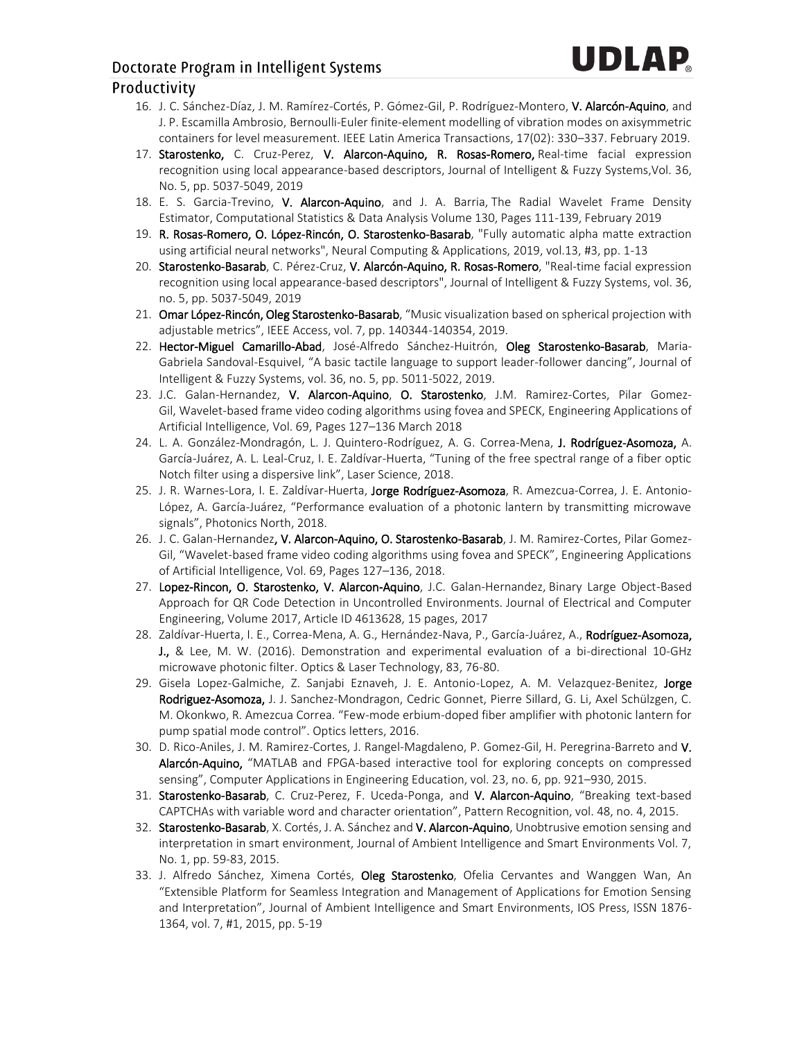- 16. J. C. Sánchez-Díaz, J. M. Ramírez-Cortés, P. Gómez-Gil, P. Rodríguez-Montero, V. Alarcón-Aquino, and J. P. Escamilla Ambrosio, Bernoulli-Euler finite-element modelling of vibration modes on axisymmetric containers for level measurement. IEEE Latin America Transactions, 17(02): 330–337. February 2019.
- 17. Starostenko, C. Cruz-Perez, V. Alarcon-Aquino, R. Rosas-Romero, Real-time facial expression recognition using local appearance-based descriptors, Journal of Intelligent & Fuzzy Systems,Vol. 36, No. 5, pp. 5037-5049, 2019
- 18. E. S. Garcia-Trevino, V. Alarcon-Aquino, and J. A. Barria, The Radial Wavelet Frame Density Estimator, Computational Statistics & Data Analysis Volume 130, Pages 111-139, February 2019
- 19. R. Rosas-Romero, O. López-Rincón, O. Starostenko-Basarab, "Fully automatic alpha matte extraction using artificial neural networks", Neural Computing & Applications, 2019, vol.13, #3, pp. 1-13
- 20. Starostenko-Basarab, C. Pérez-Cruz, V. Alarcón-Aquino, R. Rosas-Romero, "Real-time facial expression recognition using local appearance-based descriptors", Journal of Intelligent & Fuzzy Systems, vol. 36, no. 5, pp. 5037-5049, 2019
- 21. Omar López-Rincón, Oleg Starostenko-Basarab, "Music visualization based on spherical projection with adjustable metrics", IEEE Access, vol. 7, pp. 140344-140354, 2019.
- 22. Hector-Miguel Camarillo-Abad, José-Alfredo Sánchez-Huitrón, Oleg Starostenko-Basarab, Maria-Gabriela Sandoval-Esquivel, "A basic tactile language to support leader-follower dancing", Journal of Intelligent & Fuzzy Systems, vol. 36, no. 5, pp. 5011-5022, 2019.
- 23. J.C. Galan-Hernandez, V. Alarcon-Aquino, O. Starostenko, J.M. Ramirez-Cortes, Pilar Gomez-Gil, Wavelet-based frame video coding algorithms using fovea and SPECK, Engineering Applications of Artificial Intelligence, Vol. 69, Pages 127–136 March 2018
- 24. L. A. González-Mondragón, L. J. Quintero-Rodríguez, A. G. Correa-Mena, J. Rodríguez-Asomoza, A. García-Juárez, A. L. Leal-Cruz, I. E. Zaldívar-Huerta, "Tuning of the free spectral range of a fiber optic Notch filter using a dispersive link", Laser Science, 2018.
- 25. J. R. Warnes-Lora, I. E. Zaldívar-Huerta, Jorge Rodríguez-Asomoza, R. Amezcua-Correa, J. E. Antonio-López, A. García-Juárez, "Performance evaluation of a photonic lantern by transmitting microwave signals", Photonics North, 2018.
- 26. J. C. Galan-Hernandez, V. Alarcon-Aquino, O. Starostenko-Basarab, J. M. Ramirez-Cortes, Pilar Gomez-Gil, "Wavelet-based frame video coding algorithms using fovea and SPECK", Engineering Applications of Artificial Intelligence, Vol. 69, Pages 127–136, 2018.
- 27. Lopez-Rincon, O. Starostenko, V. Alarcon-Aquino, J.C. Galan-Hernandez, Binary Large Object-Based Approach for QR Code Detection in Uncontrolled Environments. Journal of Electrical and Computer Engineering, Volume 2017, Article ID 4613628, 15 pages, 2017
- 28. Zaldívar-Huerta, I. E., Correa-Mena, A. G., Hernández-Nava, P., García-Juárez, A., Rodríguez-Asomoza, J., & Lee, M. W. (2016). Demonstration and experimental evaluation of a bi-directional 10-GHz microwave photonic filter. Optics & Laser Technology, 83, 76-80.
- 29. Gisela Lopez-Galmiche, Z. Sanjabi Eznaveh, J. E. Antonio-Lopez, A. M. Velazquez-Benitez, Jorge Rodriguez-Asomoza, J. J. Sanchez-Mondragon, Cedric Gonnet, Pierre Sillard, G. Li, Axel Schülzgen, C. M. Okonkwo, R. Amezcua Correa. "Few-mode erbium-doped fiber amplifier with photonic lantern for pump spatial mode control". Optics letters, 2016.
- 30. D. Rico-Aniles, J. M. Ramirez-Cortes, J. Rangel-Magdaleno, P. Gomez-Gil, H. Peregrina-Barreto and V. Alarcón-Aquino, "MATLAB and FPGA-based interactive tool for exploring concepts on compressed sensing", Computer Applications in Engineering Education, vol. 23, no. 6, pp. 921–930, 2015.
- 31. Starostenko-Basarab, C. Cruz-Perez, F. Uceda-Ponga, and V. Alarcon-Aquino, "Breaking text-based CAPTCHAs with variable word and character orientation", Pattern Recognition, vol. 48, no. 4, 2015.
- 32. Starostenko-Basarab, X. Cortés, J. A. Sánchez and V. Alarcon-Aquino, Unobtrusive emotion sensing and interpretation in smart environment, Journal of Ambient Intelligence and Smart Environments Vol. 7, No. 1, pp. 59-83, 2015.
- 33. J. Alfredo Sánchez, Ximena Cortés, Oleg Starostenko, Ofelia Cervantes and Wanggen Wan, An "Extensible Platform for Seamless Integration and Management of Applications for Emotion Sensing and Interpretation", Journal of Ambient Intelligence and Smart Environments, IOS Press, ISSN 1876- 1364, vol. 7, #1, 2015, pp. 5-19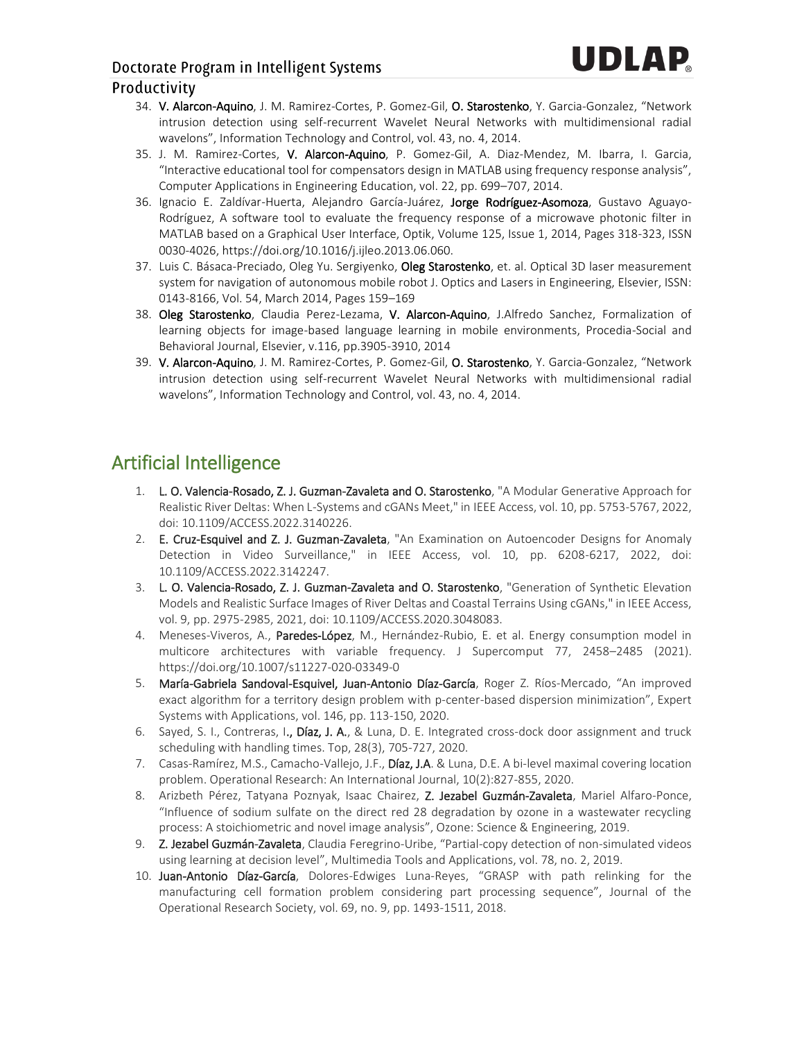- 34. V. Alarcon-Aquino, J. M. Ramirez-Cortes, P. Gomez-Gil, O. Starostenko, Y. Garcia-Gonzalez, "Network intrusion detection using self-recurrent Wavelet Neural Networks with multidimensional radial wavelons", Information Technology and Control, vol. 43, no. 4, 2014.
- 35. J. M. Ramirez-Cortes, V. Alarcon-Aquino, P. Gomez-Gil, A. Diaz-Mendez, M. Ibarra, I. Garcia, "Interactive educational tool for compensators design in MATLAB using frequency response analysis", Computer Applications in Engineering Education, vol. 22, pp. 699–707, 2014.
- 36. Ignacio E. Zaldívar-Huerta, Alejandro García-Juárez, Jorge Rodríguez-Asomoza, Gustavo Aguayo-Rodríguez, A software tool to evaluate the frequency response of a microwave photonic filter in MATLAB based on a Graphical User Interface, Optik, Volume 125, Issue 1, 2014, Pages 318-323, ISSN 0030-4026, https://doi.org/10.1016/j.ijleo.2013.06.060.
- 37. Luis C. Básaca-Preciado, Oleg Yu. Sergiyenko, Oleg Starostenko, et. al. Optical 3D laser measurement system for navigation of autonomous mobile robot J. Optics and Lasers in Engineering, Elsevier, ISSN: 0143-8166, Vol. 54, March 2014, Pages 159–169
- 38. Oleg Starostenko, Claudia Perez-Lezama, V. Alarcon-Aquino, J.Alfredo Sanchez, Formalization of learning objects for image-based language learning in mobile environments, Procedia-Social and Behavioral Journal, Elsevier, v.116, pp.3905-3910, 2014
- 39. V. Alarcon-Aquino, J. M. Ramirez-Cortes, P. Gomez-Gil, O. Starostenko, Y. Garcia-Gonzalez, "Network intrusion detection using self-recurrent Wavelet Neural Networks with multidimensional radial wavelons", Information Technology and Control, vol. 43, no. 4, 2014.

# Artificial Intelligence

- L. O. Valencia-Rosado, Z. J. Guzman-Zavaleta and O. Starostenko, "A Modular Generative Approach for Realistic River Deltas: When L-Systems and cGANs Meet," in IEEE Access, vol. 10, pp. 5753-5767, 2022, doi: 10.1109/ACCESS.2022.3140226.
- 2. E. Cruz-Esquivel and Z. J. Guzman-Zavaleta, "An Examination on Autoencoder Designs for Anomaly Detection in Video Surveillance," in IEEE Access, vol. 10, pp. 6208-6217, 2022, doi: 10.1109/ACCESS.2022.3142247.
- 3. L. O. Valencia-Rosado, Z. J. Guzman-Zavaleta and O. Starostenko, "Generation of Synthetic Elevation Models and Realistic Surface Images of River Deltas and Coastal Terrains Using cGANs," in IEEE Access, vol. 9, pp. 2975-2985, 2021, doi: 10.1109/ACCESS.2020.3048083.
- 4. Meneses-Viveros, A., Paredes-López, M., Hernández-Rubio, E. et al. Energy consumption model in multicore architectures with variable frequency. J Supercomput 77, 2458–2485 (2021). https://doi.org/10.1007/s11227-020-03349-0
- 5. María-Gabriela Sandoval-Esquivel, Juan-Antonio Díaz-García, Roger Z. Ríos-Mercado, "An improved exact algorithm for a territory design problem with p-center-based dispersion minimization", Expert Systems with Applications, vol. 146, pp. 113-150, 2020.
- 6. Sayed, S. I., Contreras, I., Díaz, J. A., & Luna, D. E. Integrated cross-dock door assignment and truck scheduling with handling times. Top, 28(3), 705-727, 2020.
- 7. Casas-Ramírez, M.S., Camacho-Vallejo, J.F., Díaz, J.A. & Luna, D.E. A bi-level maximal covering location problem. Operational Research: An International Journal, 10(2):827-855, 2020.
- 8. Arizbeth Pérez, Tatyana Poznyak, Isaac Chairez, Z. Jezabel Guzmán-Zavaleta, Mariel Alfaro-Ponce, "Influence of sodium sulfate on the direct red 28 degradation by ozone in a wastewater recycling process: A stoichiometric and novel image analysis", Ozone: Science & Engineering, 2019.
- 9. Z. Jezabel Guzmán-Zavaleta, Claudia Feregrino-Uribe, "Partial-copy detection of non-simulated videos using learning at decision level", Multimedia Tools and Applications, vol. 78, no. 2, 2019.
- 10. Juan-Antonio Díaz-García, Dolores-Edwiges Luna-Reyes, "GRASP with path relinking for the manufacturing cell formation problem considering part processing sequence", Journal of the Operational Research Society, vol. 69, no. 9, pp. 1493-1511, 2018.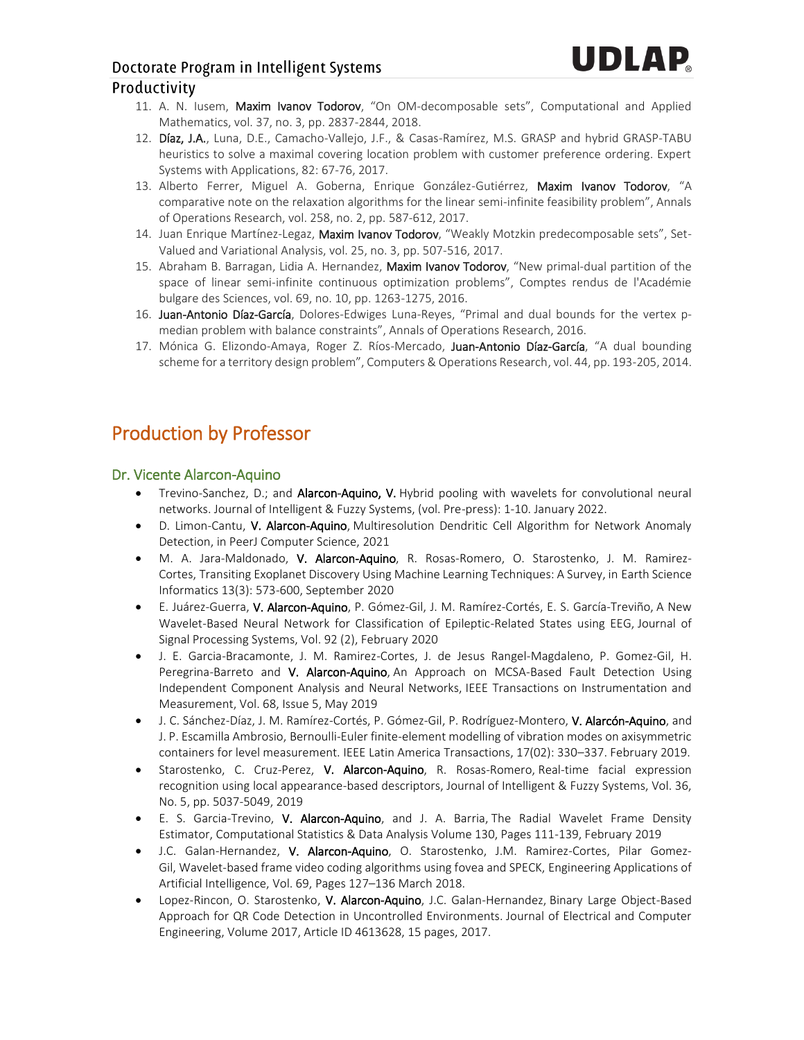#### Doctorate Program in Intelligent Systems

#### Productivity

- 11. A. N. Iusem, Maxim Ivanov Todorov, "On OM-decomposable sets", Computational and Applied Mathematics, vol. 37, no. 3, pp. 2837-2844, 2018.
- 12. Díaz, J.A., Luna, D.E., Camacho-Vallejo, J.F., & Casas-Ramírez, M.S. GRASP and hybrid GRASP-TABU heuristics to solve a maximal covering location problem with customer preference ordering. Expert Systems with Applications, 82: 67-76, 2017.
- 13. Alberto Ferrer, Miguel A. Goberna, Enrique González-Gutiérrez, Maxim Ivanov Todorov, "A comparative note on the relaxation algorithms for the linear semi-infinite feasibility problem", Annals of Operations Research, vol. 258, no. 2, pp. 587-612, 2017.
- 14. Juan Enrique Martínez-Legaz, Maxim Ivanov Todorov, "Weakly Motzkin predecomposable sets", Set-Valued and Variational Analysis, vol. 25, no. 3, pp. 507-516, 2017.
- 15. Abraham B. Barragan, Lidia A. Hernandez, Maxim Ivanov Todorov, "New primal-dual partition of the space of linear semi-infinite continuous optimization problems", Comptes rendus de l'Académie bulgare des Sciences, vol. 69, no. 10, pp. 1263-1275, 2016.
- 16. Juan-Antonio Díaz-García, Dolores-Edwiges Luna-Reyes, "Primal and dual bounds for the vertex pmedian problem with balance constraints", Annals of Operations Research, 2016.
- 17. Mónica G. Elizondo-Amaya, Roger Z. Ríos-Mercado, Juan-Antonio Díaz-García, "A dual bounding scheme for a territory design problem", Computers & Operations Research, vol. 44, pp. 193-205, 2014.

## Production by Professor

#### Dr. Vicente Alarcon-Aquino

- Trevino-Sanchez, D.; and Alarcon-Aquino, V. Hybrid pooling with wavelets for convolutional neural networks. Journal of Intelligent & Fuzzy Systems, (vol. Pre-press): 1-10. January 2022.
- D. Limon-Cantu, V. Alarcon-Aquino, Multiresolution Dendritic Cell Algorithm for Network Anomaly Detection, in PeerJ Computer Science, 2021
- M. A. Jara-Maldonado, V. Alarcon-Aquino, R. Rosas-Romero, O. Starostenko, J. M. Ramirez-Cortes, Transiting Exoplanet Discovery Using Machine Learning Techniques: A Survey, in Earth Science Informatics 13(3): 573-600, September 2020
- E. Juárez-Guerra, V. Alarcon-Aquino, P. Gómez-Gil, J. M. Ramírez-Cortés, E. S. García-Treviño, A New Wavelet-Based Neural Network for Classification of Epileptic-Related States using EEG, Journal of Signal Processing Systems, Vol. 92 (2), February 2020
- J. E. Garcia-Bracamonte, J. M. Ramirez-Cortes, J. de Jesus Rangel-Magdaleno, P. Gomez-Gil, H. Peregrina-Barreto and V. Alarcon-Aquino, An Approach on MCSA-Based Fault Detection Using Independent Component Analysis and Neural Networks, IEEE Transactions on Instrumentation and Measurement, Vol. 68, Issue 5, May 2019
- J. C. Sánchez-Díaz, J. M. Ramírez-Cortés, P. Gómez-Gil, P. Rodríguez-Montero, V. Alarcón-Aquino, and J. P. Escamilla Ambrosio, Bernoulli-Euler finite-element modelling of vibration modes on axisymmetric containers for level measurement. IEEE Latin America Transactions, 17(02): 330–337. February 2019.
- Starostenko, C. Cruz-Perez, V. Alarcon-Aquino, R. Rosas-Romero, Real-time facial expression recognition using local appearance-based descriptors, Journal of Intelligent & Fuzzy Systems, Vol. 36, No. 5, pp. 5037-5049, 2019
- E. S. Garcia-Trevino, V. Alarcon-Aquino, and J. A. Barria, The Radial Wavelet Frame Density Estimator, Computational Statistics & Data Analysis Volume 130, Pages 111-139, February 2019
- J.C. Galan-Hernandez, V. Alarcon-Aquino, O. Starostenko, J.M. Ramirez-Cortes, Pilar Gomez-Gil, Wavelet-based frame video coding algorithms using fovea and SPECK, Engineering Applications of Artificial Intelligence, Vol. 69, Pages 127–136 March 2018.
- Lopez-Rincon, O. Starostenko, V. Alarcon-Aquino, J.C. Galan-Hernandez, Binary Large Object-Based Approach for QR Code Detection in Uncontrolled Environments. Journal of Electrical and Computer Engineering, Volume 2017, Article ID 4613628, 15 pages, 2017.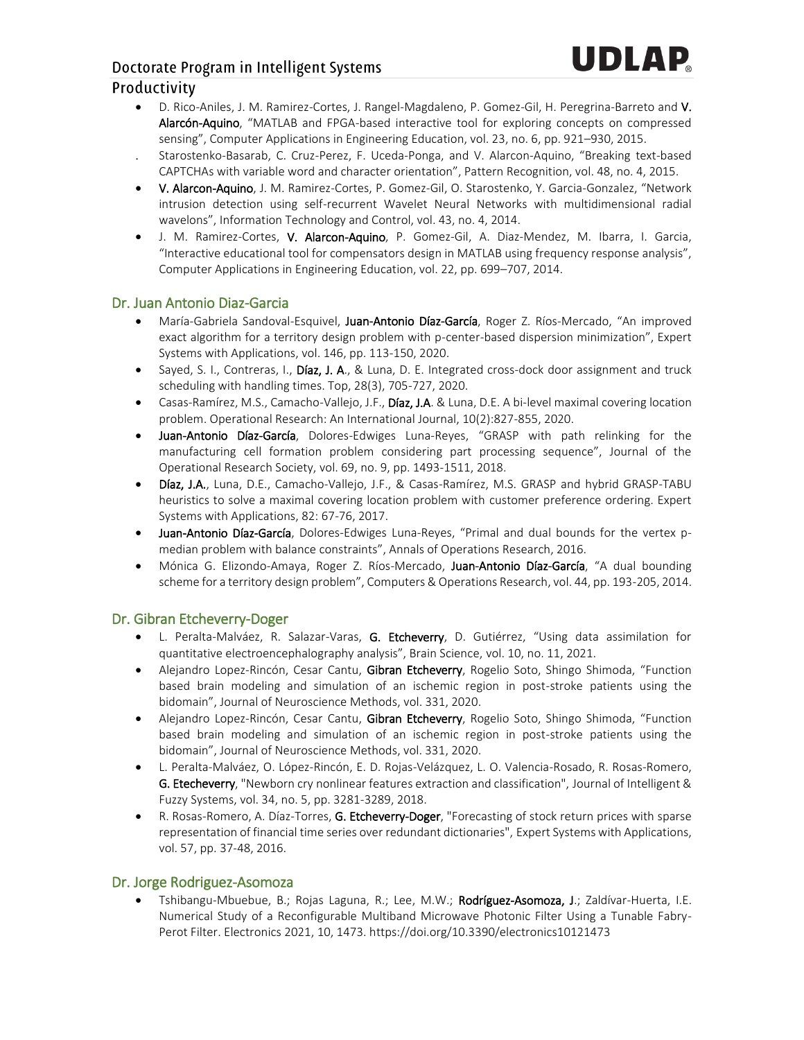- D. Rico-Aniles, J. M. Ramirez-Cortes, J. Rangel-Magdaleno, P. Gomez-Gil, H. Peregrina-Barreto and V. Alarcón-Aquino, "MATLAB and FPGA-based interactive tool for exploring concepts on compressed sensing", Computer Applications in Engineering Education, vol. 23, no. 6, pp. 921–930, 2015.
- Starostenko-Basarab, C. Cruz-Perez, F. Uceda-Ponga, and V. Alarcon-Aquino, "Breaking text-based CAPTCHAs with variable word and character orientation", Pattern Recognition, vol. 48, no. 4, 2015.
- V. Alarcon-Aquino, J. M. Ramirez-Cortes, P. Gomez-Gil, O. Starostenko, Y. Garcia-Gonzalez, "Network intrusion detection using self-recurrent Wavelet Neural Networks with multidimensional radial wavelons", Information Technology and Control, vol. 43, no. 4, 2014.
- J. M. Ramirez-Cortes, V. Alarcon-Aquino, P. Gomez-Gil, A. Diaz-Mendez, M. Ibarra, I. Garcia, "Interactive educational tool for compensators design in MATLAB using frequency response analysis", Computer Applications in Engineering Education, vol. 22, pp. 699–707, 2014.

#### Dr. Juan Antonio Diaz-Garcia

- María-Gabriela Sandoval-Esquivel, Juan-Antonio Díaz-García, Roger Z. Ríos-Mercado, "An improved exact algorithm for a territory design problem with p-center-based dispersion minimization", Expert Systems with Applications, vol. 146, pp. 113-150, 2020.
- Sayed, S. I., Contreras, I., Díaz, J. A., & Luna, D. E. Integrated cross-dock door assignment and truck scheduling with handling times. Top, 28(3), 705-727, 2020.
- Casas-Ramírez, M.S., Camacho-Vallejo, J.F., Díaz, J.A. & Luna, D.E. A bi-level maximal covering location problem. Operational Research: An International Journal, 10(2):827-855, 2020.
- Juan-Antonio Díaz-García, Dolores-Edwiges Luna-Reyes, "GRASP with path relinking for the manufacturing cell formation problem considering part processing sequence", Journal of the Operational Research Society, vol. 69, no. 9, pp. 1493-1511, 2018.
- Díaz, J.A., Luna, D.E., Camacho-Vallejo, J.F., & Casas-Ramírez, M.S. GRASP and hybrid GRASP-TABU heuristics to solve a maximal covering location problem with customer preference ordering. Expert Systems with Applications, 82: 67-76, 2017.
- Juan-Antonio Díaz-García, Dolores-Edwiges Luna-Reyes, "Primal and dual bounds for the vertex pmedian problem with balance constraints", Annals of Operations Research, 2016.
- Mónica G. Elizondo-Amaya, Roger Z. Ríos-Mercado, Juan-Antonio Díaz-García, "A dual bounding scheme for a territory design problem", Computers & Operations Research, vol. 44, pp. 193-205, 2014.

#### Dr. Gibran Etcheverry-Doger

- L. Peralta-Malváez, R. Salazar-Varas, G. Etcheverry, D. Gutiérrez, "Using data assimilation for quantitative electroencephalography analysis", Brain Science, vol. 10, no. 11, 2021.
- Alejandro Lopez-Rincón, Cesar Cantu, Gibran Etcheverry, Rogelio Soto, Shingo Shimoda, "Function based brain modeling and simulation of an ischemic region in post-stroke patients using the bidomain", Journal of Neuroscience Methods, vol. 331, 2020.
- Alejandro Lopez-Rincón, Cesar Cantu, Gibran Etcheverry, Rogelio Soto, Shingo Shimoda, "Function based brain modeling and simulation of an ischemic region in post-stroke patients using the bidomain", Journal of Neuroscience Methods, vol. 331, 2020.
- L. Peralta-Malváez, O. López-Rincón, E. D. Rojas-Velázquez, L. O. Valencia-Rosado, R. Rosas-Romero, G. Etecheverry, "Newborn cry nonlinear features extraction and classification", Journal of Intelligent & Fuzzy Systems, vol. 34, no. 5, pp. 3281-3289, 2018.
- R. Rosas-Romero, A. Díaz-Torres, G. Etcheverry-Doger, "Forecasting of stock return prices with sparse representation of financial time series over redundant dictionaries", Expert Systems with Applications, vol. 57, pp. 37-48, 2016.

#### Dr. Jorge Rodriguez-Asomoza

• Tshibangu-Mbuebue, B.; Rojas Laguna, R.; Lee, M.W.; Rodríguez-Asomoza, J.; Zaldívar-Huerta, I.E. Numerical Study of a Reconfigurable Multiband Microwave Photonic Filter Using a Tunable Fabry-Perot Filter. Electronics 2021, 10, 1473. https://doi.org/10.3390/electronics10121473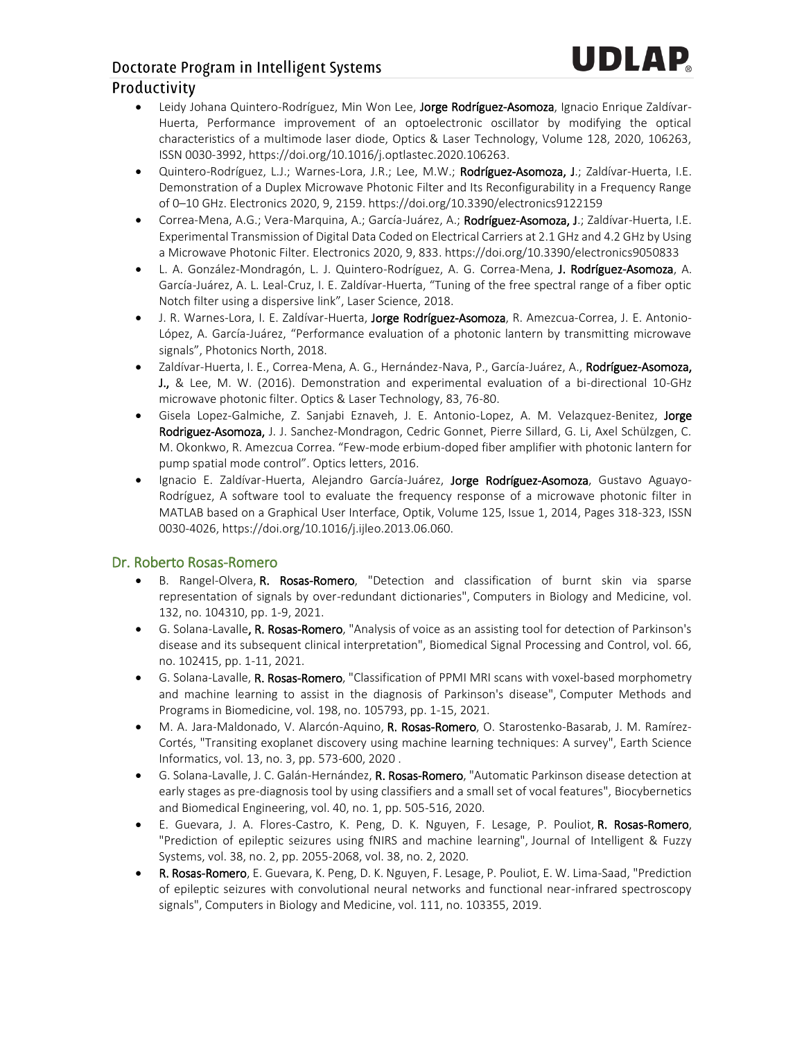- Leidy Johana Quintero-Rodríguez, Min Won Lee, Jorge Rodríguez-Asomoza, Ignacio Enrique Zaldívar-Huerta, Performance improvement of an optoelectronic oscillator by modifying the optical characteristics of a multimode laser diode, Optics & Laser Technology, Volume 128, 2020, 106263, ISSN 0030-3992, https://doi.org/10.1016/j.optlastec.2020.106263.
- Quintero-Rodríguez, L.J.; Warnes-Lora, J.R.; Lee, M.W.; Rodríguez-Asomoza, J.; Zaldívar-Huerta, I.E. Demonstration of a Duplex Microwave Photonic Filter and Its Reconfigurability in a Frequency Range of 0–10 GHz. Electronics 2020, 9, 2159. https://doi.org/10.3390/electronics9122159
- Correa-Mena, A.G.; Vera-Marquina, A.; García-Juárez, A.; Rodríguez-Asomoza, J.; Zaldívar-Huerta, I.E. Experimental Transmission of Digital Data Coded on Electrical Carriers at 2.1 GHz and 4.2 GHz by Using a Microwave Photonic Filter. Electronics 2020, 9, 833. https://doi.org/10.3390/electronics9050833
- L. A. González-Mondragón, L. J. Quintero-Rodríguez, A. G. Correa-Mena, J. Rodríguez-Asomoza, A. García-Juárez, A. L. Leal-Cruz, I. E. Zaldívar-Huerta, "Tuning of the free spectral range of a fiber optic Notch filter using a dispersive link", Laser Science, 2018.
- J. R. Warnes-Lora, I. E. Zaldívar-Huerta, Jorge Rodríguez-Asomoza, R. Amezcua-Correa, J. E. Antonio-López, A. García-Juárez, "Performance evaluation of a photonic lantern by transmitting microwave signals", Photonics North, 2018.
- Zaldívar-Huerta, I. E., Correa-Mena, A. G., Hernández-Nava, P., García-Juárez, A., Rodríguez-Asomoza, J., & Lee, M. W. (2016). Demonstration and experimental evaluation of a bi-directional 10-GHz microwave photonic filter. Optics & Laser Technology, 83, 76-80.
- Gisela Lopez-Galmiche, Z. Sanjabi Eznaveh, J. E. Antonio-Lopez, A. M. Velazquez-Benitez, Jorge Rodriguez-Asomoza, J. J. Sanchez-Mondragon, Cedric Gonnet, Pierre Sillard, G. Li, Axel Schülzgen, C. M. Okonkwo, R. Amezcua Correa. "Few-mode erbium-doped fiber amplifier with photonic lantern for pump spatial mode control". Optics letters, 2016.
- Ignacio E. Zaldívar-Huerta, Alejandro García-Juárez, Jorge Rodríguez-Asomoza, Gustavo Aguayo-Rodríguez, A software tool to evaluate the frequency response of a microwave photonic filter in MATLAB based on a Graphical User Interface, Optik, Volume 125, Issue 1, 2014, Pages 318-323, ISSN 0030-4026, https://doi.org/10.1016/j.ijleo.2013.06.060.

#### Dr. Roberto Rosas-Romero

- B. Rangel-Olvera, R. Rosas-Romero, "Detection and classification of burnt skin via sparse representation of signals by over-redundant dictionaries", Computers in Biology and Medicine, vol. 132, no. 104310, pp. 1-9, 2021.
- G. Solana-Lavalle, R. Rosas-Romero, "Analysis of voice as an assisting tool for detection of Parkinson's disease and its subsequent clinical interpretation", Biomedical Signal Processing and Control, vol. 66, no. 102415, pp. 1-11, 2021.
- G. Solana-Lavalle, R. Rosas-Romero, "Classification of PPMI MRI scans with voxel-based morphometry and machine learning to assist in the diagnosis of Parkinson's disease", Computer Methods and Programs in Biomedicine, vol. 198, no. 105793, pp. 1-15, 2021.
- M. A. Jara-Maldonado, V. Alarcón-Aquino, R. Rosas-Romero, O. Starostenko-Basarab, J. M. Ramírez-Cortés, "Transiting exoplanet discovery using machine learning techniques: A survey", Earth Science Informatics, vol. 13, no. 3, pp. 573-600, 2020 .
- G. Solana-Lavalle, J. C. Galán-Hernández, R. Rosas-Romero, "Automatic Parkinson disease detection at early stages as pre-diagnosis tool by using classifiers and a small set of vocal features", Biocybernetics and Biomedical Engineering, vol. 40, no. 1, pp. 505-516, 2020.
- E. Guevara, J. A. Flores-Castro, K. Peng, D. K. Nguyen, F. Lesage, P. Pouliot, R. Rosas-Romero, "Prediction of epileptic seizures using fNIRS and machine learning", Journal of Intelligent & Fuzzy Systems, vol. 38, no. 2, pp. 2055-2068, vol. 38, no. 2, 2020.
- R. Rosas-Romero, E. Guevara, K. Peng, D. K. Nguyen, F. Lesage, P. Pouliot, E. W. Lima-Saad, "Prediction of epileptic seizures with convolutional neural networks and functional near-infrared spectroscopy signals", Computers in Biology and Medicine, vol. 111, no. 103355, 2019.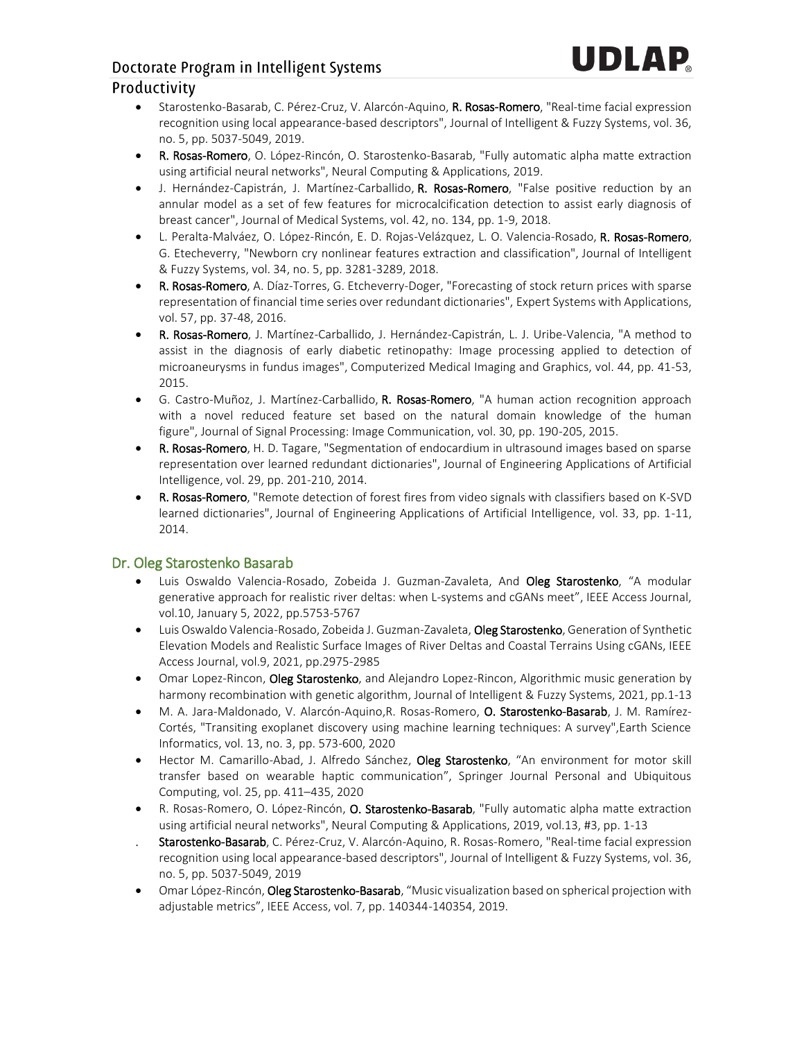# Doctorate Program in Intelligent Systems

#### Productivity

- Starostenko-Basarab, C. Pérez-Cruz, V. Alarcón-Aquino, R. Rosas-Romero, "Real-time facial expression recognition using local appearance-based descriptors", Journal of Intelligent & Fuzzy Systems, vol. 36, no. 5, pp. 5037-5049, 2019.
- R. Rosas-Romero, O. López-Rincón, O. Starostenko-Basarab, "Fully automatic alpha matte extraction using artificial neural networks", Neural Computing & Applications, 2019.
- J. Hernández-Capistrán, J. Martínez-Carballido, R. Rosas-Romero, "False positive reduction by an annular model as a set of few features for microcalcification detection to assist early diagnosis of breast cancer", Journal of Medical Systems, vol. 42, no. 134, pp. 1-9, 2018.
- L. Peralta-Malváez, O. López-Rincón, E. D. Rojas-Velázquez, L. O. Valencia-Rosado, R. Rosas-Romero, G. Etecheverry, "Newborn cry nonlinear features extraction and classification", Journal of Intelligent & Fuzzy Systems, vol. 34, no. 5, pp. 3281-3289, 2018.
- R. Rosas-Romero, A. Díaz-Torres, G. Etcheverry-Doger, "Forecasting of stock return prices with sparse representation of financial time series over redundant dictionaries", Expert Systems with Applications, vol. 57, pp. 37-48, 2016.
- R. Rosas-Romero, J. Martínez-Carballido, J. Hernández-Capistrán, L. J. Uribe-Valencia, "A method to assist in the diagnosis of early diabetic retinopathy: Image processing applied to detection of microaneurysms in fundus images", Computerized Medical Imaging and Graphics, vol. 44, pp. 41-53, 2015.
- G. Castro-Muñoz, J. Martínez-Carballido, R. Rosas-Romero, "A human action recognition approach with a novel reduced feature set based on the natural domain knowledge of the human figure", Journal of Signal Processing: Image Communication, vol. 30, pp. 190-205, 2015.
- R. Rosas-Romero, H. D. Tagare, "Segmentation of endocardium in ultrasound images based on sparse representation over learned redundant dictionaries", Journal of Engineering Applications of Artificial Intelligence, vol. 29, pp. 201-210, 2014.
- R. Rosas-Romero, "Remote detection of forest fires from video signals with classifiers based on K-SVD learned dictionaries", Journal of Engineering Applications of Artificial Intelligence, vol. 33, pp. 1-11, 2014.

#### Dr. Oleg Starostenko Basarab

- Luis Oswaldo Valencia-Rosado, Zobeida J. Guzman-Zavaleta, And Oleg Starostenko, "A modular generative approach for realistic river deltas: when L-systems and cGANs meet", IEEE Access Journal, vol.10, January 5, 2022, pp.5753-5767
- Luis Oswaldo Valencia-Rosado, Zobeida J. Guzman-Zavaleta, Oleg Starostenko, Generation of Synthetic Elevation Models and Realistic Surface Images of River Deltas and Coastal Terrains Using cGANs, IEEE Access Journal, vol.9, 2021, pp.2975-2985
- Omar Lopez-Rincon, Oleg Starostenko, and Alejandro Lopez-Rincon, Algorithmic music generation by harmony recombination with genetic algorithm, Journal of Intelligent & Fuzzy Systems, 2021, pp.1-13
- M. A. Jara-Maldonado, V. Alarcón-Aquino,R. Rosas-Romero, O. Starostenko-Basarab, J. M. Ramírez-Cortés, "Transiting exoplanet discovery using machine learning techniques: A survey",Earth Science Informatics, vol. 13, no. 3, pp. 573-600, 2020
- Hector M. Camarillo-Abad, J. Alfredo Sánchez, Oleg Starostenko, "An environment for motor skill transfer based on wearable haptic communication", Springer Journal Personal and Ubiquitous Computing, vol. 25, pp. 411–435, 2020
- R. Rosas-Romero, O. López-Rincón, O. Starostenko-Basarab, "Fully automatic alpha matte extraction using artificial neural networks", Neural Computing & Applications, 2019, vol.13, #3, pp. 1-13
- Starostenko-Basarab, C. Pérez-Cruz, V. Alarcón-Aquino, R. Rosas-Romero, "Real-time facial expression recognition using local appearance-based descriptors", Journal of Intelligent & Fuzzy Systems, vol. 36, no. 5, pp. 5037-5049, 2019
- Omar López-Rincón, Oleg Starostenko-Basarab, "Music visualization based on spherical projection with adjustable metrics", IEEE Access, vol. 7, pp. 140344-140354, 2019.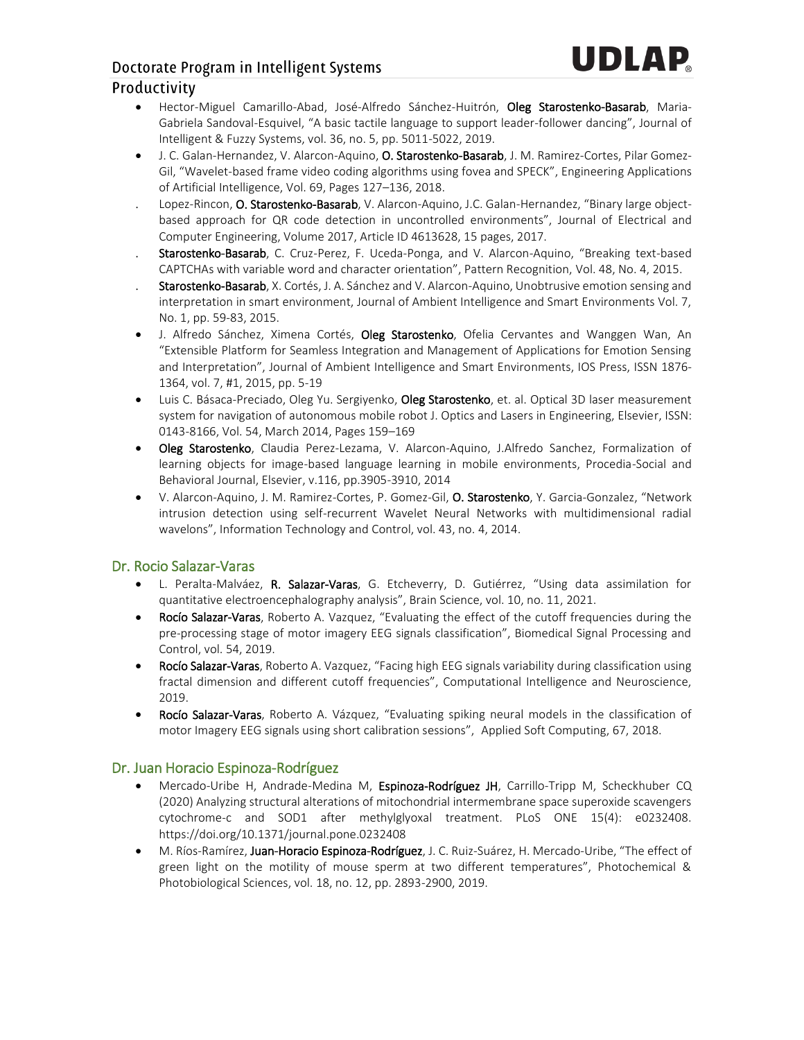# UDI AP

# Doctorate Program in Intelligent Systems

#### Productivity

- Hector-Miguel Camarillo-Abad, José-Alfredo Sánchez-Huitrón, Oleg Starostenko-Basarab, Maria-Gabriela Sandoval-Esquivel, "A basic tactile language to support leader-follower dancing", Journal of Intelligent & Fuzzy Systems, vol. 36, no. 5, pp. 5011-5022, 2019.
- J. C. Galan-Hernandez, V. Alarcon-Aquino, O. Starostenko-Basarab, J. M. Ramirez-Cortes, Pilar Gomez-Gil, "Wavelet-based frame video coding algorithms using fovea and SPECK", Engineering Applications of Artificial Intelligence, Vol. 69, Pages 127–136, 2018.
- Lopez-Rincon, O. Starostenko-Basarab, V. Alarcon-Aquino, J.C. Galan-Hernandez, "Binary large objectbased approach for QR code detection in uncontrolled environments", Journal of Electrical and Computer Engineering, Volume 2017, Article ID 4613628, 15 pages, 2017.
- Starostenko-Basarab, C. Cruz-Perez, F. Uceda-Ponga, and V. Alarcon-Aquino, "Breaking text-based CAPTCHAs with variable word and character orientation", Pattern Recognition, Vol. 48, No. 4, 2015.
- Starostenko-Basarab, X. Cortés, J. A. Sánchez and V. Alarcon-Aquino, Unobtrusive emotion sensing and interpretation in smart environment, Journal of Ambient Intelligence and Smart Environments Vol. 7, No. 1, pp. 59-83, 2015.
- J. Alfredo Sánchez, Ximena Cortés, Oleg Starostenko, Ofelia Cervantes and Wanggen Wan, An "Extensible Platform for Seamless Integration and Management of Applications for Emotion Sensing and Interpretation", Journal of Ambient Intelligence and Smart Environments, IOS Press, ISSN 1876- 1364, vol. 7, #1, 2015, pp. 5-19
- Luis C. Básaca-Preciado, Oleg Yu. Sergiyenko, Oleg Starostenko, et. al. Optical 3D laser measurement system for navigation of autonomous mobile robot J. Optics and Lasers in Engineering, Elsevier, ISSN: 0143-8166, Vol. 54, March 2014, Pages 159–169
- Oleg Starostenko, Claudia Perez-Lezama, V. Alarcon-Aquino, J.Alfredo Sanchez, Formalization of learning objects for image-based language learning in mobile environments, Procedia-Social and Behavioral Journal, Elsevier, v.116, pp.3905-3910, 2014
- V. Alarcon-Aquino, J. M. Ramirez-Cortes, P. Gomez-Gil, O. Starostenko, Y. Garcia-Gonzalez, "Network intrusion detection using self-recurrent Wavelet Neural Networks with multidimensional radial wavelons", Information Technology and Control, vol. 43, no. 4, 2014.

#### Dr. Rocio Salazar-Varas

- L. Peralta-Malváez, R. Salazar-Varas, G. Etcheverry, D. Gutiérrez, "Using data assimilation for quantitative electroencephalography analysis", Brain Science, vol. 10, no. 11, 2021.
- Rocío Salazar-Varas, Roberto A. Vazquez, "Evaluating the effect of the cutoff frequencies during the pre-processing stage of motor imagery EEG signals classification", Biomedical Signal Processing and Control, vol. 54, 2019.
- Rocío Salazar-Varas, Roberto A. Vazquez, "Facing high EEG signals variability during classification using fractal dimension and different cutoff frequencies", Computational Intelligence and Neuroscience, 2019.
- Rocío Salazar-Varas, Roberto A. Vázquez, "Evaluating spiking neural models in the classification of motor Imagery EEG signals using short calibration sessions", Applied Soft Computing, 67, 2018.

#### Dr. Juan Horacio Espinoza-Rodríguez

- Mercado-Uribe H, Andrade-Medina M, Espinoza-Rodríguez JH, Carrillo-Tripp M, Scheckhuber CQ (2020) Analyzing structural alterations of mitochondrial intermembrane space superoxide scavengers cytochrome-c and SOD1 after methylglyoxal treatment. PLoS ONE 15(4): e0232408. https://doi.org/10.1371/journal.pone.0232408
- M. Ríos-Ramírez, Juan-Horacio Espinoza-Rodríguez, J. C. Ruiz-Suárez, H. Mercado-Uribe, "The effect of green light on the motility of mouse sperm at two different temperatures", Photochemical & Photobiological Sciences, vol. 18, no. 12, pp. 2893-2900, 2019.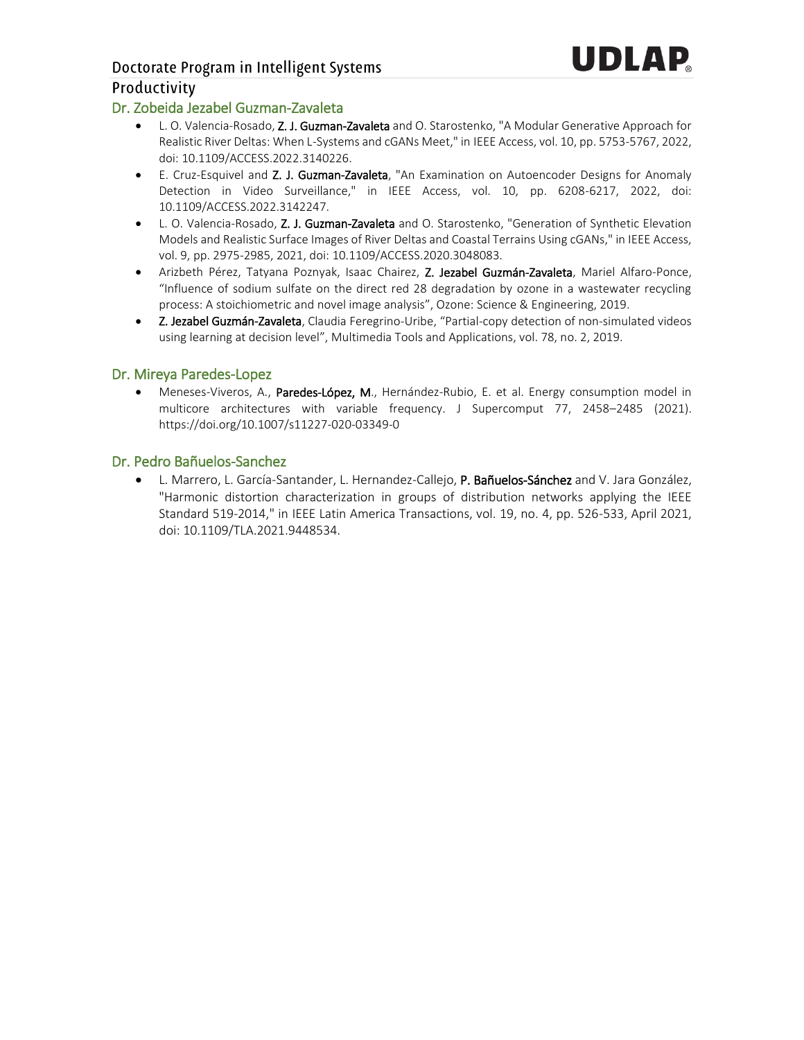### Doctorate Program in Intelligent Systems Productivity

#### Dr. Zobeida Jezabel Guzman-Zavaleta

- L. O. Valencia-Rosado, Z. J. Guzman-Zavaleta and O. Starostenko, "A Modular Generative Approach for Realistic River Deltas: When L-Systems and cGANs Meet," in IEEE Access, vol. 10, pp. 5753-5767, 2022, doi: 10.1109/ACCESS.2022.3140226.
- E. Cruz-Esquivel and Z. J. Guzman-Zavaleta, "An Examination on Autoencoder Designs for Anomaly Detection in Video Surveillance," in IEEE Access, vol. 10, pp. 6208-6217, 2022, doi: 10.1109/ACCESS.2022.3142247.
- L. O. Valencia-Rosado, Z. J. Guzman-Zavaleta and O. Starostenko, "Generation of Synthetic Elevation Models and Realistic Surface Images of River Deltas and Coastal Terrains Using cGANs," in IEEE Access, vol. 9, pp. 2975-2985, 2021, doi: 10.1109/ACCESS.2020.3048083.
- Arizbeth Pérez, Tatyana Poznyak, Isaac Chairez, Z. Jezabel Guzmán-Zavaleta, Mariel Alfaro-Ponce, "Influence of sodium sulfate on the direct red 28 degradation by ozone in a wastewater recycling process: A stoichiometric and novel image analysis", Ozone: Science & Engineering, 2019.
- Z. Jezabel Guzmán-Zavaleta, Claudia Feregrino-Uribe, "Partial-copy detection of non-simulated videos using learning at decision level", Multimedia Tools and Applications, vol. 78, no. 2, 2019.

#### Dr. Mireya Paredes-Lopez

• Meneses-Viveros, A., Paredes-López, M., Hernández-Rubio, E. et al. Energy consumption model in multicore architectures with variable frequency. J Supercomput 77, 2458–2485 (2021). https://doi.org/10.1007/s11227-020-03349-0

#### Dr. Pedro Bañuelos-Sanchez

L. Marrero, L. García-Santander, L. Hernandez-Callejo, P. Bañuelos-Sánchez and V. Jara González, "Harmonic distortion characterization in groups of distribution networks applying the IEEE Standard 519-2014," in IEEE Latin America Transactions, vol. 19, no. 4, pp. 526-533, April 2021, doi: 10.1109/TLA.2021.9448534.